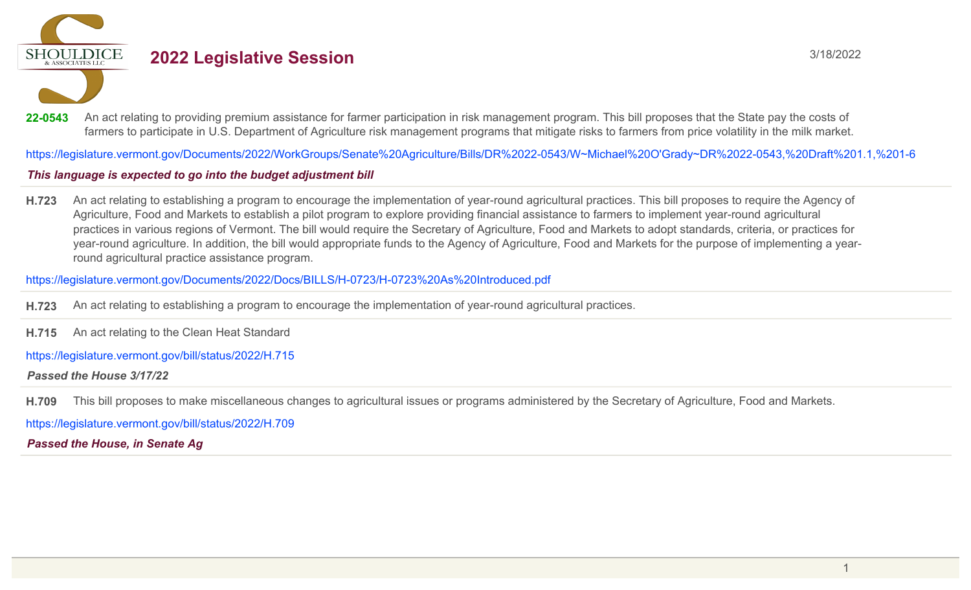**SHOULDICE** 

# **2022 Legislative Session** 3/18/2022

22-0543 An act relating to providing premium assistance for farmer participation in risk management program. This bill proposes that the State pay the costs of farmers to participate in U.S. Department of Agriculture risk management programs that mitigate risks to farmers from price volatility in the milk market.

https://legislature.vermont.gov/Documents/2022/WorkGroups/Senate%20Agriculture/Bills/DR%2022-0543/W~Michael%20O'Grady~DR%2022-0543,%20Draft%201.1,%201-6

# This language is expected to go into the budget adjustment bill

**H.723** An act relating to establishing a program to encourage the implementation of year-round agricultural practices. This bill proposes to require the Agency of Agriculture, Food and Markets to establish a pilot program to explore providing financial assistance to farmers to implement year-round agricultural practices in various regions of Vermont. The bill would require the Secretary of Agriculture, Food and Markets to adopt standards, criteria, or practices for year-round agriculture. In addition, the bill would appropriate funds to the Agency of Agriculture, Food and Markets for the purpose of implementing a yearround agricultural practice assistance program.

https://legislature.vermont.gov/Documents/2022/Docs/BILLS/H-0723/H-0723%20As%20Introduced.pdf

**H.723** An act relating to establishing a program to encourage the implementation of year-round agricultural practices.

**H.715** An act relating to the Clean Heat Standard

https://legislature.vermont.gov/bill/status/2022/H.715

*Passed the House 3/17/22*

**H.709** This bill proposes to make miscellaneous changes to agricultural issues or programs administered by the Secretary of Agriculture, Food and Markets.

https://legislature.vermont.gov/bill/status/2022/H.709

*Passed the House, in Senate Ag*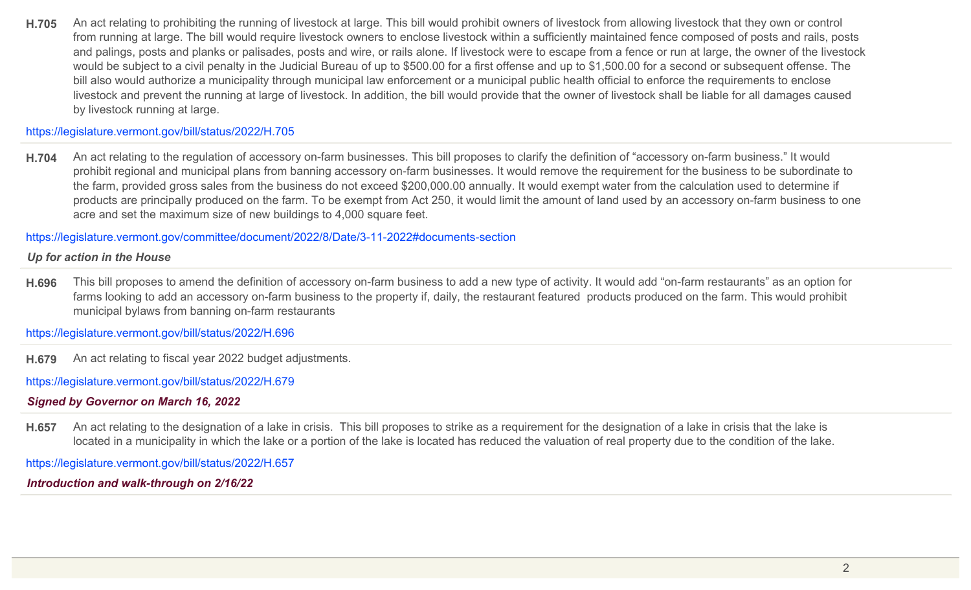**H.705** An act relating to prohibiting the running of livestock at large. This bill would prohibit owners of livestock from allowing livestock that they own or control from running at large. The bill would require livestock owners to enclose livestock within a sufficiently maintained fence composed of posts and rails, posts and palings, posts and planks or palisades, posts and wire, or rails alone. If livestock were to escape from a fence or run at large, the owner of the livestock would be subject to a civil penalty in the Judicial Bureau of up to \$500.00 for a first offense and up to \$1,500.00 for a second or subsequent offense. The bill also would authorize a municipality through municipal law enforcement or a municipal public health official to enforce the requirements to enclose livestock and prevent the running at large of livestock. In addition, the bill would provide that the owner of livestock shall be liable for all damages caused by livestock running at large.

#### https://legislature.vermont.gov/bill/status/2022/H.705

**H.704** An act relating to the regulation of accessory on-farm businesses. This bill proposes to clarify the definition of "accessory on-farm business." It would prohibit regional and municipal plans from banning accessory on-farm businesses. It would remove the requirement for the business to be subordinate to the farm, provided gross sales from the business do not exceed \$200,000.00 annually. It would exempt water from the calculation used to determine if products are principally produced on the farm. To be exempt from Act 250, it would limit the amount of land used by an accessory on-farm business to one acre and set the maximum size of new buildings to 4,000 square feet.

https://legislature.vermont.gov/committee/document/2022/8/Date/3-11-2022#documents-section

#### *Up for action in the House*

**H.696** This bill proposes to amend the definition of accessory on-farm business to add a new type of activity. It would add "on-farm restaurants" as an option for farms looking to add an accessory on-farm business to the property if, daily, the restaurant featured products produced on the farm. This would prohibit municipal bylaws from banning on-farm restaurants

https://legislature.vermont.gov/bill/status/2022/H.696

**H.679** An act relating to fiscal year 2022 budget adjustments.

https://legislature.vermont.gov/bill/status/2022/H.679

*Signed by Governor on March 16, 2022*

**H.657** An act relating to the designation of a lake in crisis. This bill proposes to strike as a requirement for the designation of a lake in crisis that the lake is located in a municipality in which the lake or a portion of the lake is located has reduced the valuation of real property due to the condition of the lake.

https://legislature.vermont.gov/bill/status/2022/H.657

*Introduction and walk-through on 2/16/22*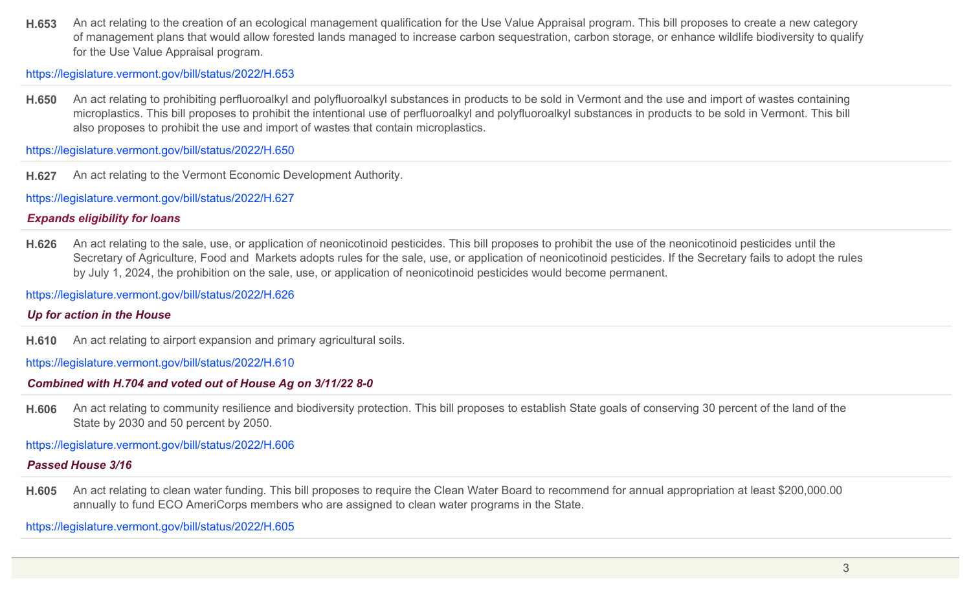**H.653** An act relating to the creation of an ecological management qualification for the Use Value Appraisal program. This bill proposes to create a new category of management plans that would allow forested lands managed to increase carbon sequestration, carbon storage, or enhance wildlife biodiversity to qualify for the Use Value Appraisal program.

https://legislature.vermont.gov/bill/status/2022/H.653

**H.650** An act relating to prohibiting perfluoroalkyl and polyfluoroalkyl substances in products to be sold in Vermont and the use and import of wastes containing microplastics. This bill proposes to prohibit the intentional use of perfluoroalkyl and polyfluoroalkyl substances in products to be sold in Vermont. This bill also proposes to prohibit the use and import of wastes that contain microplastics.

https://legislature.vermont.gov/bill/status/2022/H.650

**H.627** An act relating to the Vermont Economic Development Authority.

https://legislature.vermont.gov/bill/status/2022/H.627

# *Expands eligibility for loans*

**H.626** An act relating to the sale, use, or application of neonicotinoid pesticides. This bill proposes to prohibit the use of the neonicotinoid pesticides until the Secretary of Agriculture, Food and Markets adopts rules for the sale, use, or application of neonicotinoid pesticides. If the Secretary fails to adopt the rules by July 1, 2024, the prohibition on the sale, use, or application of neonicotinoid pesticides would become permanent.

https://legislature.vermont.gov/bill/status/2022/H.626

# *Up for action in the House*

**H.610** An act relating to airport expansion and primary agricultural soils.

https://legislature.vermont.gov/bill/status/2022/H.610

# *Combined with H.704 and voted out of House Ag on 3/11/22 8-0*

**H.606** An act relating to community resilience and biodiversity protection. This bill proposes to establish State goals of conserving 30 percent of the land of the State by 2030 and 50 percent by 2050.

https://legislature.vermont.gov/bill/status/2022/H.606

# *Passed House 3/16*

**H.605** An act relating to clean water funding. This bill proposes to require the Clean Water Board to recommend for annual appropriation at least \$200,000.00 annually to fund ECO AmeriCorps members who are assigned to clean water programs in the State.

https://legislature.vermont.gov/bill/status/2022/H.605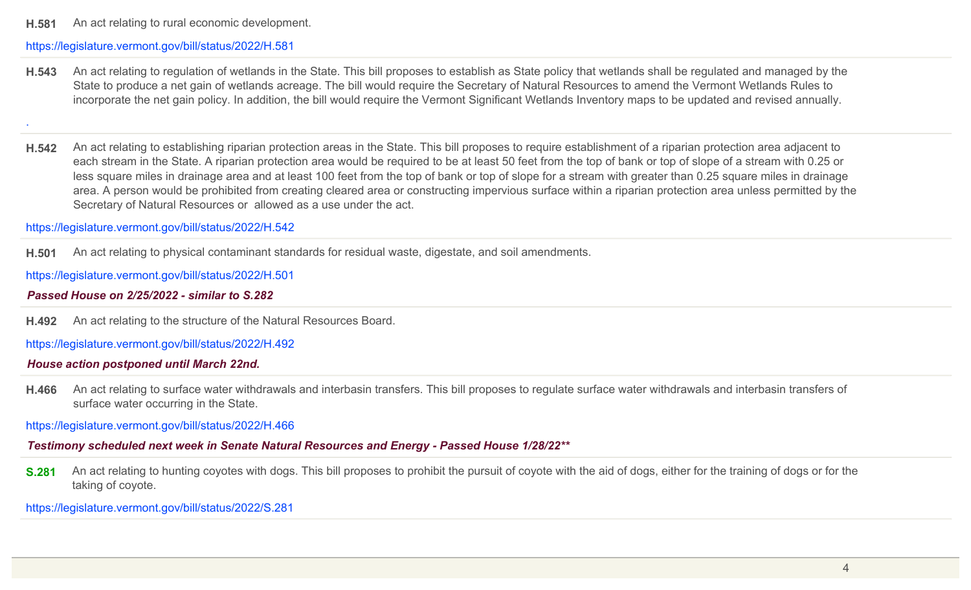**H.581** An act relating to rural economic development.

#### https://legislature.vermont.gov/bill/status/2022/H.581

**H.543** An act relating to regulation of wetlands in the State. This bill proposes to establish as State policy that wetlands shall be regulated and managed by the State to produce a net gain of wetlands acreage. The bill would require the Secretary of Natural Resources to amend the Vermont Wetlands Rules to incorporate the net gain policy. In addition, the bill would require the Vermont Significant Wetlands Inventory maps to be updated and revised annually.

.

**H.542** An act relating to establishing riparian protection areas in the State. This bill proposes to require establishment of a riparian protection area adjacent to each stream in the State. A riparian protection area would be required to be at least 50 feet from the top of bank or top of slope of a stream with 0.25 or less square miles in drainage area and at least 100 feet from the top of bank or top of slope for a stream with greater than 0.25 square miles in drainage area. A person would be prohibited from creating cleared area or constructing impervious surface within a riparian protection area unless permitted by the Secretary of Natural Resources or allowed as a use under the act.

https://legislature.vermont.gov/bill/status/2022/H.542

**H.501** An act relating to physical contaminant standards for residual waste, digestate, and soil amendments.

https://legislature.vermont.gov/bill/status/2022/H.501

#### *Passed House on 2/25/2022 - similar to S.282*

**H.492** An act relating to the structure of the Natural Resources Board.

https://legislature.vermont.gov/bill/status/2022/H.492

#### *House action postponed until March 22nd.*

**H.466** An act relating to surface water withdrawals and interbasin transfers. This bill proposes to regulate surface water withdrawals and interbasin transfers of surface water occurring in the State.

https://legislature.vermont.gov/bill/status/2022/H.466

*Testimony scheduled next week in Senate Natural Resources and Energy - Passed House 1/28/22\*\**

**S.281** An act relating to hunting coyotes with dogs. This bill proposes to prohibit the pursuit of coyote with the aid of dogs, either for the training of dogs or for the taking of coyote.

https://legislature.vermont.gov/bill/status/2022/S.281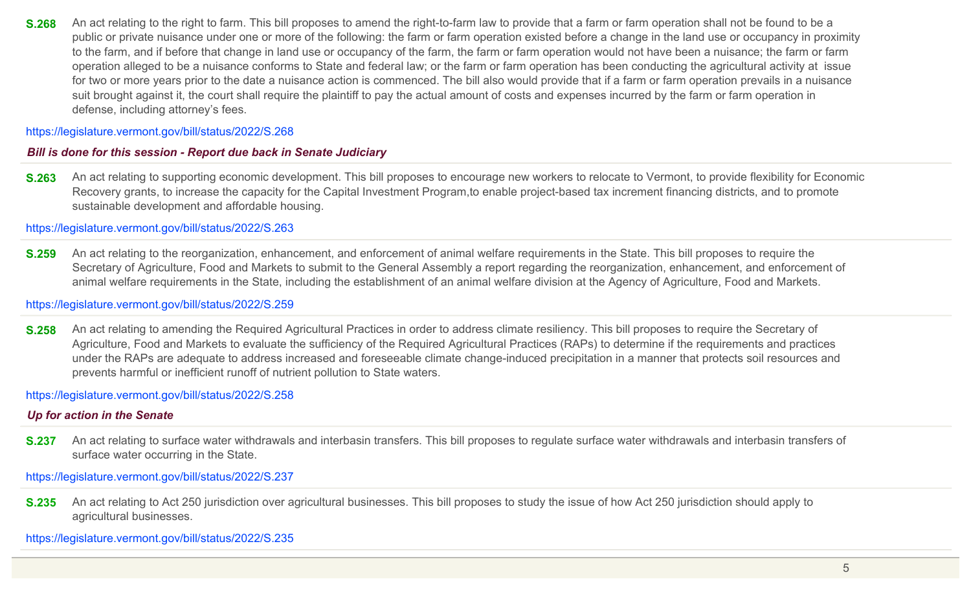**S.268** An act relating to the right to farm. This bill proposes to amend the right-to-farm law to provide that a farm or farm operation shall not be found to be a public or private nuisance under one or more of the following: the farm or farm operation existed before a change in the land use or occupancy in proximity to the farm, and if before that change in land use or occupancy of the farm, the farm or farm operation would not have been a nuisance; the farm or farm operation alleged to be a nuisance conforms to State and federal law; or the farm or farm operation has been conducting the agricultural activity at issue for two or more years prior to the date a nuisance action is commenced. The bill also would provide that if a farm or farm operation prevails in a nuisance suit brought against it, the court shall require the plaintiff to pay the actual amount of costs and expenses incurred by the farm or farm operation in defense, including attorney's fees.

https://legislature.vermont.gov/bill/status/2022/S.268

### *Bill is done for this session - Report due back in Senate Judiciary*

**S.263** An act relating to supporting economic development. This bill proposes to encourage new workers to relocate to Vermont, to provide flexibility for Economic Recovery grants, to increase the capacity for the Capital Investment Program,to enable project-based tax increment financing districts, and to promote sustainable development and affordable housing.

https://legislature.vermont.gov/bill/status/2022/S.263

**S.259** An act relating to the reorganization, enhancement, and enforcement of animal welfare requirements in the State. This bill proposes to require the Secretary of Agriculture, Food and Markets to submit to the General Assembly a report regarding the reorganization, enhancement, and enforcement of animal welfare requirements in the State, including the establishment of an animal welfare division at the Agency of Agriculture, Food and Markets.

#### https://legislature.vermont.gov/bill/status/2022/S.259

**S.258** An act relating to amending the Required Agricultural Practices in order to address climate resiliency. This bill proposes to require the Secretary of Agriculture, Food and Markets to evaluate the sufficiency of the Required Agricultural Practices (RAPs) to determine if the requirements and practices under the RAPs are adequate to address increased and foreseeable climate change-induced precipitation in a manner that protects soil resources and prevents harmful or inefficient runoff of nutrient pollution to State waters.

#### https://legislature.vermont.gov/bill/status/2022/S.258

#### *Up for action in the Senate*

**S.237** An act relating to surface water withdrawals and interbasin transfers. This bill proposes to regulate surface water withdrawals and interbasin transfers of surface water occurring in the State.

https://legislature.vermont.gov/bill/status/2022/S.237

**S.235** An act relating to Act 250 jurisdiction over agricultural businesses. This bill proposes to study the issue of how Act 250 jurisdiction should apply to agricultural businesses.

https://legislature.vermont.gov/bill/status/2022/S.235